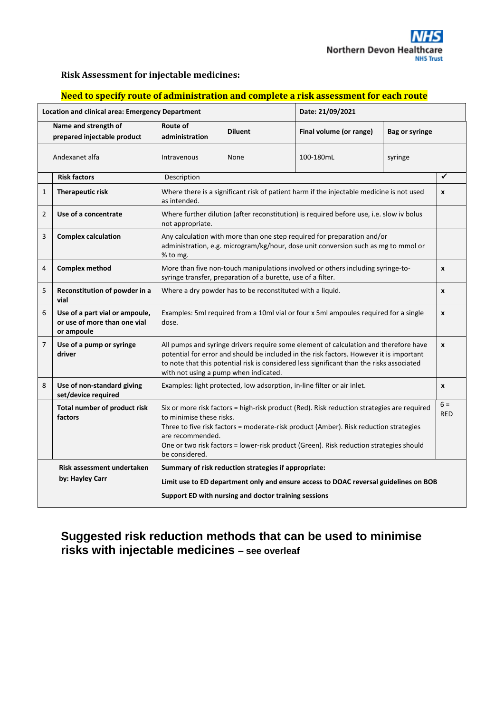

## **Risk Assessment for injectable medicines:**

| <u>сса со эреспутнике от ампитные астоп ини сотпртесе и тня аээсээнтенстог сасп гнал</u> |                                                                              |                                                                                                                                                                                                                                                                                                                                                 |                |                         |                       |                     |
|------------------------------------------------------------------------------------------|------------------------------------------------------------------------------|-------------------------------------------------------------------------------------------------------------------------------------------------------------------------------------------------------------------------------------------------------------------------------------------------------------------------------------------------|----------------|-------------------------|-----------------------|---------------------|
|                                                                                          | <b>Location and clinical area: Emergency Department</b>                      |                                                                                                                                                                                                                                                                                                                                                 |                | Date: 21/09/2021        |                       |                     |
| Name and strength of<br>prepared injectable product                                      |                                                                              | Route of<br>administration                                                                                                                                                                                                                                                                                                                      | <b>Diluent</b> | Final volume (or range) | <b>Bag or syringe</b> |                     |
| Andexanet alfa                                                                           |                                                                              | Intravenous                                                                                                                                                                                                                                                                                                                                     | None           | 100-180mL               | syringe               |                     |
|                                                                                          | <b>Risk factors</b>                                                          | Description                                                                                                                                                                                                                                                                                                                                     |                |                         |                       | $\checkmark$        |
| 1                                                                                        | <b>Therapeutic risk</b>                                                      | Where there is a significant risk of patient harm if the injectable medicine is not used<br>as intended.                                                                                                                                                                                                                                        |                |                         |                       | X                   |
| 2                                                                                        | Use of a concentrate                                                         | Where further dilution (after reconstitution) is required before use, i.e. slow iv bolus<br>not appropriate.                                                                                                                                                                                                                                    |                |                         |                       |                     |
| 3                                                                                        | <b>Complex calculation</b>                                                   | Any calculation with more than one step required for preparation and/or<br>administration, e.g. microgram/kg/hour, dose unit conversion such as mg to mmol or<br>% to mg.                                                                                                                                                                       |                |                         |                       |                     |
| 4                                                                                        | <b>Complex method</b>                                                        | More than five non-touch manipulations involved or others including syringe-to-<br>$\pmb{\mathsf{x}}$<br>syringe transfer, preparation of a burette, use of a filter.                                                                                                                                                                           |                |                         |                       |                     |
| 5                                                                                        | Reconstitution of powder in a<br>vial                                        | Where a dry powder has to be reconstituted with a liquid.                                                                                                                                                                                                                                                                                       |                |                         |                       | X                   |
| 6                                                                                        | Use of a part vial or ampoule,<br>or use of more than one vial<br>or ampoule | Examples: 5ml required from a 10ml vial or four x 5ml ampoules required for a single<br>dose.                                                                                                                                                                                                                                                   |                |                         |                       | x                   |
| 7                                                                                        | Use of a pump or syringe<br>driver                                           | All pumps and syringe drivers require some element of calculation and therefore have<br>potential for error and should be included in the risk factors. However it is important<br>to note that this potential risk is considered less significant than the risks associated<br>with not using a pump when indicated.                           |                |                         |                       | x                   |
| 8                                                                                        | Use of non-standard giving<br>set/device required                            | Examples: light protected, low adsorption, in-line filter or air inlet.                                                                                                                                                                                                                                                                         |                |                         |                       | X                   |
|                                                                                          | Total number of product risk<br>factors                                      | Six or more risk factors = high-risk product (Red). Risk reduction strategies are required<br>to minimise these risks.<br>Three to five risk factors = moderate-risk product (Amber). Risk reduction strategies<br>are recommended.<br>One or two risk factors = lower-risk product (Green). Risk reduction strategies should<br>be considered. |                |                         |                       | $6 =$<br><b>RED</b> |
| Risk assessment undertaken<br>by: Hayley Carr                                            |                                                                              | Summary of risk reduction strategies if appropriate:<br>Limit use to ED department only and ensure access to DOAC reversal guidelines on BOB                                                                                                                                                                                                    |                |                         |                       |                     |
|                                                                                          |                                                                              | Support ED with nursing and doctor training sessions                                                                                                                                                                                                                                                                                            |                |                         |                       |                     |

## **Need to specify route of administration and complete a risk assessment for each route**

## **Suggested risk reduction methods that can be used to minimise risks with injectable medicines – see overleaf**